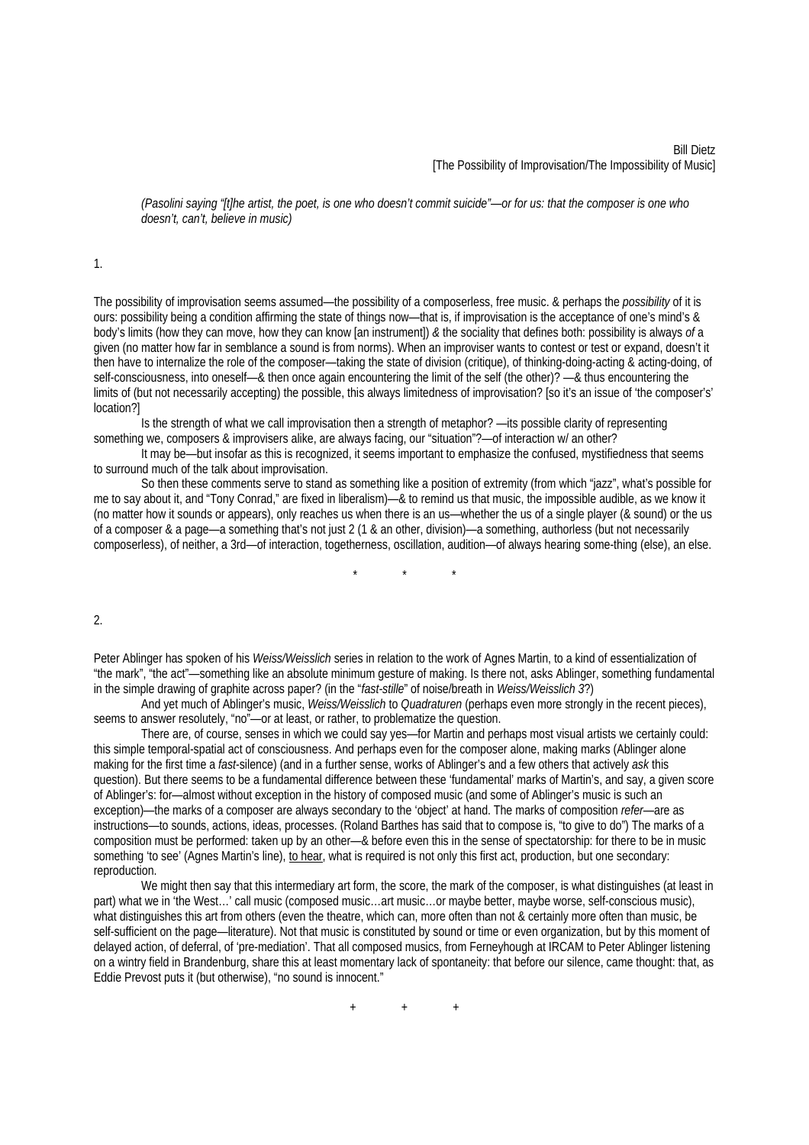*(Pasolini saying "[t]he artist, the poet, is one who doesn't commit suicide"—or for us: that the composer is one who doesn't, can't, believe in music)* 

1.

The possibility of improvisation seems assumed—the possibility of a composerless, free music. & perhaps the *possibility* of it is ours: possibility being a condition affirming the state of things now—that is, if improvisation is the acceptance of one's mind's & body's limits (how they can move, how they can know [an instrument]) *&* the sociality that defines both: possibility is always *of* a given (no matter how far in semblance a sound is from norms). When an improviser wants to contest or test or expand, doesn't it then have to internalize the role of the composer—taking the state of division (critique), of thinking-doing-acting & acting-doing, of self-consciousness, into oneself—& then once again encountering the limit of the self (the other)? —& thus encountering the limits of (but not necessarily accepting) the possible, this always limitedness of improvisation? [so it's an issue of 'the composer's' location?]

 Is the strength of what we call improvisation then a strength of metaphor? —its possible clarity of representing something we, composers & improvisers alike, are always facing, our "situation"?—of interaction w/ an other?

 It may be—but insofar as this is recognized, it seems important to emphasize the confused, mystifiedness that seems to surround much of the talk about improvisation.

 So then these comments serve to stand as something like a position of extremity (from which "jazz", what's possible for me to say about it, and "Tony Conrad," are fixed in liberalism)—& to remind us that music, the impossible audible, as we know it (no matter how it sounds or appears), only reaches us when there is an us—whether the us of a single player (& sound) or the us of a composer & a page—a something that's not just 2 (1 & an other, division)—a something, authorless (but not necessarily composerless), of neither, a 3rd—of interaction, togetherness, oscillation, audition—of always hearing some-thing (else), an else.

\* \* \*

## $\mathfrak{2}$

Peter Ablinger has spoken of his *Weiss/Weisslich* series in relation to the work of Agnes Martin, to a kind of essentialization of "the mark", "the act"—something like an absolute minimum gesture of making. Is there not, asks Ablinger, something fundamental in the simple drawing of graphite across paper? (in the "*fast-stille*" of noise/breath in *Weiss/Weisslich 3*?)

And yet much of Ablinger's music, *Weiss/Weisslich* to *Quadraturen* (perhaps even more strongly in the recent pieces), seems to answer resolutely, "no"—or at least, or rather, to problematize the question.

There are, of course, senses in which we could say yes—for Martin and perhaps most visual artists we certainly could: this simple temporal-spatial act of consciousness. And perhaps even for the composer alone, making marks (Ablinger alone making for the first time a *fast*-silence) (and in a further sense, works of Ablinger's and a few others that actively *ask* this question). But there seems to be a fundamental difference between these 'fundamental' marks of Martin's, and say, a given score of Ablinger's: for—almost without exception in the history of composed music (and some of Ablinger's music is such an exception)—the marks of a composer are always secondary to the 'object' at hand. The marks of composition *refer*—are as instructions—to sounds, actions, ideas, processes. (Roland Barthes has said that to compose is, "to give to do") The marks of a composition must be performed: taken up by an other—& before even this in the sense of spectatorship: for there to be in music something 'to see' (Agnes Martin's line), to hear, what is required is not only this first act, production, but one secondary: reproduction.

We might then say that this intermediary art form, the score, the mark of the composer, is what distinguishes (at least in part) what we in 'the West…' call music (composed music…art music…or maybe better, maybe worse, self-conscious music), what distinguishes this art from others (even the theatre, which can, more often than not & certainly more often than music, be self-sufficient on the page—literature). Not that music is constituted by sound or time or even organization, but by this moment of delayed action, of deferral, of 'pre-mediation'. That all composed musics, from Ferneyhough at IRCAM to Peter Ablinger listening on a wintry field in Brandenburg, share this at least momentary lack of spontaneity: that before our silence, came thought: that, as Eddie Prevost puts it (but otherwise), "no sound is innocent."

 $+$  +  $+$